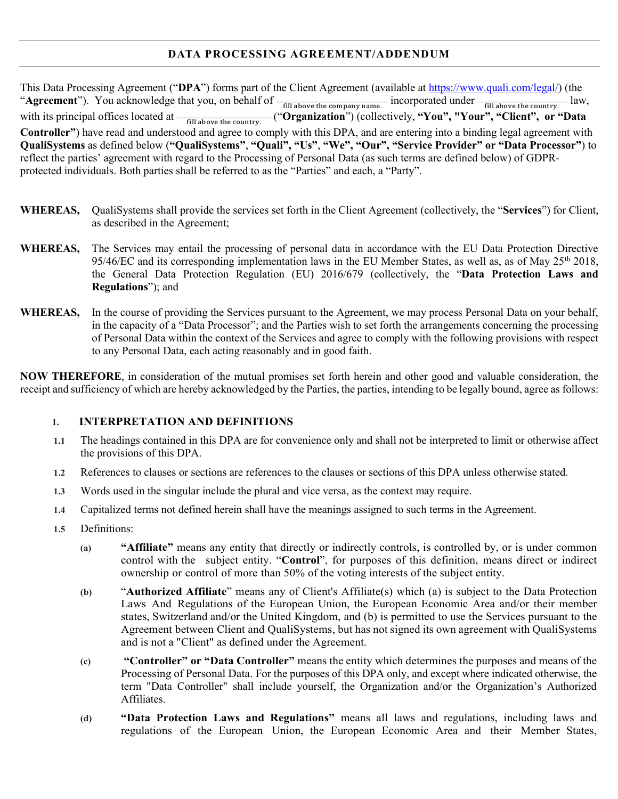# **DATA PROCESSING AGREEMENT/ADDENDUM**

This Data Processing Agreement ("**DPA**") forms part of the Client Agreement (available a[t https://www.quali.com/legal/\)](https://www.quali.com/legal/) (the "Agreement"). You acknowledge that you, on behalf of  $\frac{1}{\text{fill above the company name.}}$  incorporated under  $\frac{1}{\text{fill above the country.}}$  law, with its principal offices located at  $\frac{1}{\text{fill above the country}}$  ("Organization") (collectively, "You", "Your", "Client", or "Data **Controller"**) have read and understood and agree to comply with this DPA, and are entering into a binding legal agreement with **QualiSystems** as defined below (**"QualiSystems"**, **"Quali", "Us"**, **"We", "Our", "Service Provider" or "Data Processor"**) to reflect the parties' agreement with regard to the Processing of Personal Data (as such terms are defined below) of GDPRprotected individuals. Both parties shall be referred to as the "Parties" and each, a "Party".

- **WHEREAS,** QualiSystems shall provide the services set forth in the Client Agreement (collectively, the "**Services**") for Client, as described in the Agreement;
- **WHEREAS,** The Services may entail the processing of personal data in accordance with the EU Data Protection Directive 95/46/EC and its corresponding implementation laws in the EU Member States, as well as, as of May 25<sup>th</sup> 2018, the General Data Protection Regulation (EU) 2016/679 (collectively, the "**Data Protection Laws and Regulations**"); and
- **WHEREAS,** In the course of providing the Services pursuant to the Agreement, we may process Personal Data on your behalf, in the capacity of a "Data Processor"; and the Parties wish to set forth the arrangements concerning the processing of Personal Data within the context of the Services and agree to comply with the following provisions with respect to any Personal Data, each acting reasonably and in good faith.

**NOW THEREFORE**, in consideration of the mutual promises set forth herein and other good and valuable consideration, the receipt and sufficiency of which are hereby acknowledged by the Parties, the parties, intending to be legally bound, agree as follows:

# **1. INTERPRETATION AND DEFINITIONS**

- **1.1** The headings contained in this DPA are for convenience only and shall not be interpreted to limit or otherwise affect the provisions of this DPA.
- **1.2** References to clauses or sections are references to the clauses or sections of this DPA unless otherwise stated.
- **1.3** Words used in the singular include the plural and vice versa, as the context may require.
- **1.4** Capitalized terms not defined herein shall have the meanings assigned to such terms in the Agreement.
- **1.5** Definitions:
	- **(a) "Affiliate"** means any entity that directly or indirectly controls, is controlled by, or is under common control with the subject entity. "**Control**", for purposes of this definition, means direct or indirect ownership or control of more than 50% of the voting interests of the subject entity.
	- **(b)** "**Authorized Affiliate**" means any of Client's Affiliate(s) which (a) is subject to the Data Protection Laws And Regulations of the European Union, the European Economic Area and/or their member states, Switzerland and/or the United Kingdom, and (b) is permitted to use the Services pursuant to the Agreement between Client and QualiSystems, but has not signed its own agreement with QualiSystems and is not a "Client" as defined under the Agreement.
	- **(c) "Controller" or "Data Controller"** means the entity which determines the purposes and means of the Processing of Personal Data. For the purposes of this DPA only, and except where indicated otherwise, the term "Data Controller" shall include yourself, the Organization and/or the Organization's Authorized Affiliates.
	- **(d) "Data Protection Laws and Regulations"** means all laws and regulations, including laws and regulations of the European Union, the European Economic Area and their Member States,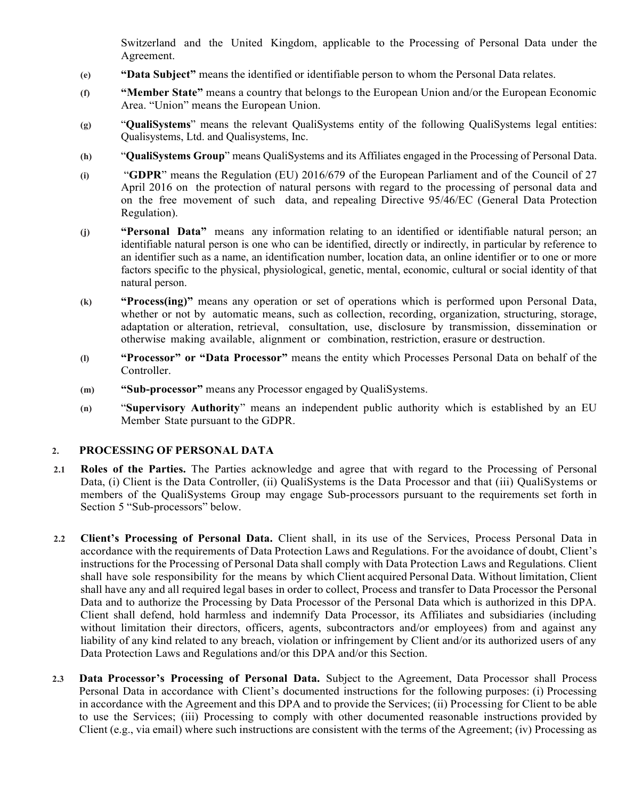Switzerland and the United Kingdom, applicable to the Processing of Personal Data under the Agreement.

- **(e) "Data Subject"** means the identified or identifiable person to whom the Personal Data relates.
- **(f) "Member State"** means a country that belongs to the European Union and/or the European Economic Area. "Union" means the European Union.
- **(g)** "**QualiSystems**" means the relevant QualiSystems entity of the following QualiSystems legal entities: Qualisystems, Ltd. and Qualisystems, Inc.
- **(h)** "**QualiSystems Group**" means QualiSystems and its Affiliates engaged in the Processing of Personal Data.
- **(i)** "**GDPR**" means the Regulation (EU) 2016/679 of the European Parliament and of the Council of 27 April 2016 on the protection of natural persons with regard to the processing of personal data and on the free movement of such data, and repealing Directive 95/46/EC (General Data Protection Regulation).
- **(j) "Personal Data"** means any information relating to an identified or identifiable natural person; an identifiable natural person is one who can be identified, directly or indirectly, in particular by reference to an identifier such as a name, an identification number, location data, an online identifier or to one or more factors specific to the physical, physiological, genetic, mental, economic, cultural or social identity of that natural person.
- **(k) "Process(ing)"** means any operation or set of operations which is performed upon Personal Data, whether or not by automatic means, such as collection, recording, organization, structuring, storage, adaptation or alteration, retrieval, consultation, use, disclosure by transmission, dissemination or otherwise making available, alignment or combination, restriction, erasure or destruction.
- **(l) "Processor" or "Data Processor"** means the entity which Processes Personal Data on behalf of the Controller.
- **(m) "Sub-processor"** means any Processor engaged by QualiSystems.
- **(n)** "**Supervisory Authority**" means an independent public authority which is established by an EU Member State pursuant to the GDPR.

#### **2. PROCESSING OF PERSONAL DATA**

- **2.1 Roles of the Parties.** The Parties acknowledge and agree that with regard to the Processing of Personal Data, (i) Client is the Data Controller, (ii) QualiSystems is the Data Processor and that (iii) QualiSystems or members of the QualiSystems Group may engage Sub-processors pursuant to the requirements set forth in Section 5 "Sub-processors" below.
- **2.2 Client's Processing of Personal Data.** Client shall, in its use of the Services, Process Personal Data in accordance with the requirements of Data Protection Laws and Regulations. For the avoidance of doubt, Client's instructions for the Processing of Personal Data shall comply with Data Protection Laws and Regulations. Client shall have sole responsibility for the means by which Client acquired Personal Data. Without limitation, Client shall have any and all required legal bases in order to collect, Process and transfer to Data Processor the Personal Data and to authorize the Processing by Data Processor of the Personal Data which is authorized in this DPA. Client shall defend, hold harmless and indemnify Data Processor, its Affiliates and subsidiaries (including without limitation their directors, officers, agents, subcontractors and/or employees) from and against any liability of any kind related to any breach, violation or infringement by Client and/or its authorized users of any Data Protection Laws and Regulations and/or this DPA and/or this Section.
- **2.3 Data Processor's Processing of Personal Data.** Subject to the Agreement, Data Processor shall Process Personal Data in accordance with Client's documented instructions for the following purposes: (i) Processing in accordance with the Agreement and this DPA and to provide the Services; (ii) Processing for Client to be able to use the Services; (iii) Processing to comply with other documented reasonable instructions provided by Client (e.g., via email) where such instructions are consistent with the terms of the Agreement; (iv) Processing as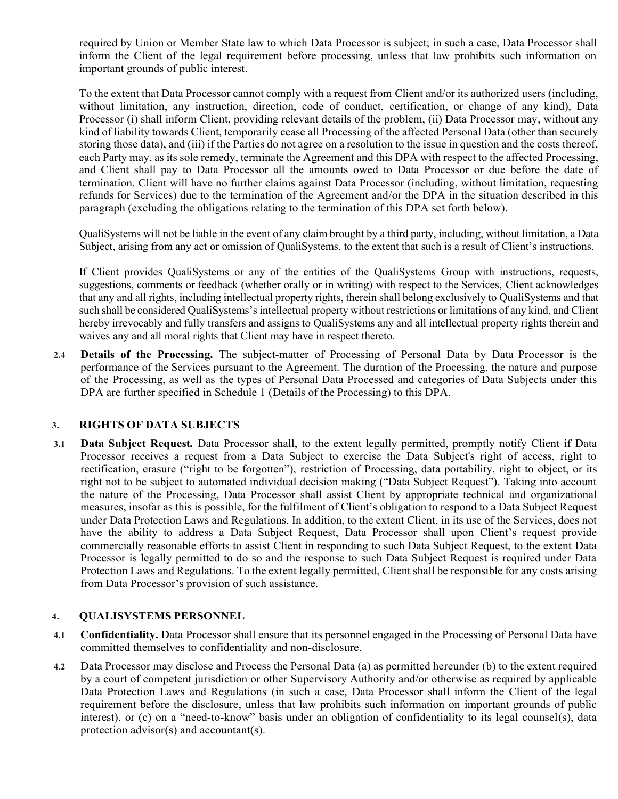required by Union or Member State law to which Data Processor is subject; in such a case, Data Processor shall inform the Client of the legal requirement before processing, unless that law prohibits such information on important grounds of public interest.

To the extent that Data Processor cannot comply with a request from Client and/or its authorized users (including, without limitation, any instruction, direction, code of conduct, certification, or change of any kind), Data Processor (i) shall inform Client, providing relevant details of the problem, (ii) Data Processor may, without any kind of liability towards Client, temporarily cease all Processing of the affected Personal Data (other than securely storing those data), and (iii) if the Parties do not agree on a resolution to the issue in question and the costs thereof, each Party may, as its sole remedy, terminate the Agreement and this DPA with respect to the affected Processing, and Client shall pay to Data Processor all the amounts owed to Data Processor or due before the date of termination. Client will have no further claims against Data Processor (including, without limitation, requesting refunds for Services) due to the termination of the Agreement and/or the DPA in the situation described in this paragraph (excluding the obligations relating to the termination of this DPA set forth below).

QualiSystems will not be liable in the event of any claim brought by a third party, including, without limitation, a Data Subject, arising from any act or omission of QualiSystems, to the extent that such is a result of Client's instructions.

If Client provides QualiSystems or any of the entities of the QualiSystems Group with instructions, requests, suggestions, comments or feedback (whether orally or in writing) with respect to the Services, Client acknowledges that any and all rights, including intellectual property rights, therein shall belong exclusively to QualiSystems and that such shall be considered QualiSystems's intellectual property without restrictions or limitations of any kind, and Client hereby irrevocably and fully transfers and assigns to QualiSystems any and all intellectual property rights therein and waives any and all moral rights that Client may have in respect thereto.

**2.4 Details of the Processing.** The subject-matter of Processing of Personal Data by Data Processor is the performance of the Services pursuant to the Agreement. The duration of the Processing, the nature and purpose of the Processing, as well as the types of Personal Data Processed and categories of Data Subjects under this DPA are further specified in Schedule 1 (Details of the Processing) to this DPA.

# **3. RIGHTS OF DATA SUBJECTS**

**3.1 Data Subject Request***.* Data Processor shall, to the extent legally permitted, promptly notify Client if Data Processor receives a request from a Data Subject to exercise the Data Subject's right of access, right to rectification, erasure ("right to be forgotten"), restriction of Processing, data portability, right to object, or its right not to be subject to automated individual decision making ("Data Subject Request"). Taking into account the nature of the Processing, Data Processor shall assist Client by appropriate technical and organizational measures, insofar as this is possible, for the fulfilment of Client's obligation to respond to a Data Subject Request under Data Protection Laws and Regulations. In addition, to the extent Client, in its use of the Services, does not have the ability to address a Data Subject Request, Data Processor shall upon Client's request provide commercially reasonable efforts to assist Client in responding to such Data Subject Request, to the extent Data Processor is legally permitted to do so and the response to such Data Subject Request is required under Data Protection Laws and Regulations. To the extent legally permitted, Client shall be responsible for any costs arising from Data Processor's provision of such assistance.

#### **4. QUALISYSTEMS PERSONNEL**

- **4.1 Confidentiality.** Data Processor shall ensure that its personnel engaged in the Processing of Personal Data have committed themselves to confidentiality and non-disclosure.
- **4.2** Data Processor may disclose and Process the Personal Data (a) as permitted hereunder (b) to the extent required by a court of competent jurisdiction or other Supervisory Authority and/or otherwise as required by applicable Data Protection Laws and Regulations (in such a case, Data Processor shall inform the Client of the legal requirement before the disclosure, unless that law prohibits such information on important grounds of public interest), or (c) on a "need-to-know" basis under an obligation of confidentiality to its legal counsel(s), data protection advisor(s) and accountant(s).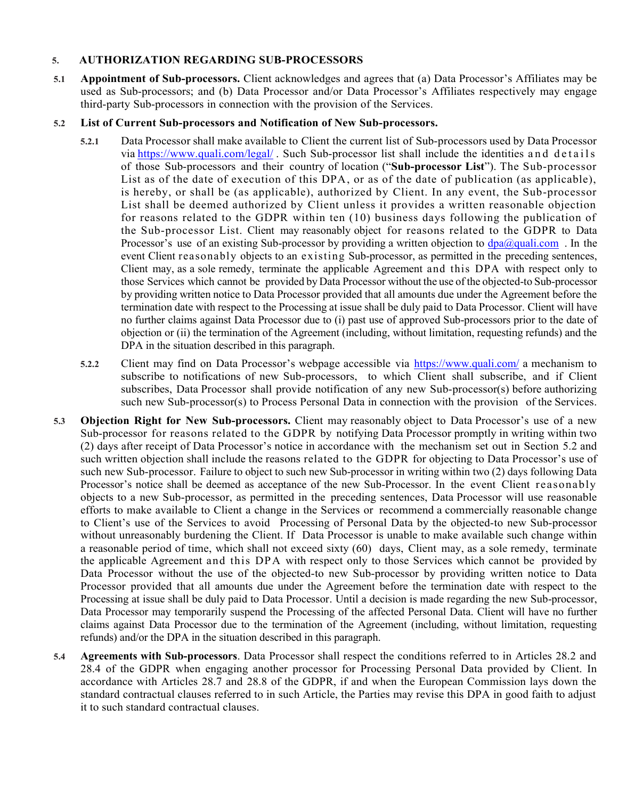#### **5. AUTHORIZATION REGARDING SUB-PROCESSORS**

**5.1 Appointment of Sub-processors.** Client acknowledges and agrees that (a) Data Processor's Affiliates may be used as Sub-processors; and (b) Data Processor and/or Data Processor's Affiliates respectively may engage third-party Sub-processors in connection with the provision of the Services.

#### **5.2 List of Current Sub-processors and Notification of New Sub-processors.**

- **5.2.1** Data Processor shall make available to Client the current list of Sub-processors used by Data Processor via <https://www.quali.com/legal/> . Such Sub-processor list shall include the identities and details of those Sub-processors and their country of location ("**Sub-processor List**"). The Sub-processor List as of the date of execution of this DPA, or as of the date of publication (as applicable), is hereby, or shall be (as applicable), authorized by Client. In any event, the Sub-processor List shall be deemed authorized by Client unless it provides a written reasonable objection for reasons related to the GDPR within ten (10) business days following the publication of the Sub-processor List. Client may reasonably object for reasons related to the GDPR to Data Processor's use of an existing Sub-processor by providing a written objection to  $\frac{dpa@qualicom}{d}$ . In the event Client reasonably objects to an existing Sub-processor, as permitted in the preceding sentences, Client may, as a sole remedy, terminate the applicable Agreement and this DPA with respect only to those Services which cannot be provided by Data Processor without the use of the objected-to Sub-processor by providing written notice to Data Processor provided that all amounts due under the Agreement before the termination date with respect to the Processing at issue shall be duly paid to Data Processor. Client will have no further claims against Data Processor due to (i) past use of approved Sub-processors prior to the date of objection or (ii) the termination of the Agreement (including, without limitation, requesting refunds) and the DPA in the situation described in this paragraph.
- **5.2.2** Client may find on Data Processor's webpage accessible via <https://www.quali.com/> a mechanism to subscribe to notifications of new Sub-processors, to which Client shall subscribe, and if Client subscribes, Data Processor shall provide notification of any new Sub-processor(s) before authorizing such new Sub-processor(s) to Process Personal Data in connection with the provision of the Services.
- **5.3 Objection Right for New Sub-processors.** Client may reasonably object to Data Processor's use of a new Sub-processor for reasons related to the GDPR by notifying Data Processor promptly in writing within two (2) days after receipt of Data Processor's notice in accordance with the mechanism set out in Section 5.2 and such written objection shall include the reasons related to the GDPR for objecting to Data Processor's use of such new Sub-processor. Failure to object to such new Sub-processor in writing within two (2) days following Data Processor's notice shall be deemed as acceptance of the new Sub-Processor. In the event Client reasonably objects to a new Sub-processor, as permitted in the preceding sentences, Data Processor will use reasonable efforts to make available to Client a change in the Services or recommend a commercially reasonable change to Client's use of the Services to avoid Processing of Personal Data by the objected-to new Sub-processor without unreasonably burdening the Client. If Data Processor is unable to make available such change within a reasonable period of time, which shall not exceed sixty (60) days, Client may, as a sole remedy, terminate the applicable Agreement and this DPA with respect only to those Services which cannot be provided by Data Processor without the use of the objected-to new Sub-processor by providing written notice to Data Processor provided that all amounts due under the Agreement before the termination date with respect to the Processing at issue shall be duly paid to Data Processor. Until a decision is made regarding the new Sub-processor, Data Processor may temporarily suspend the Processing of the affected Personal Data. Client will have no further claims against Data Processor due to the termination of the Agreement (including, without limitation, requesting refunds) and/or the DPA in the situation described in this paragraph.
- **5.4 Agreements with Sub-processors**. Data Processor shall respect the conditions referred to in Articles 28.2 and 28.4 of the GDPR when engaging another processor for Processing Personal Data provided by Client. In accordance with Articles 28.7 and 28.8 of the GDPR, if and when the European Commission lays down the standard contractual clauses referred to in such Article, the Parties may revise this DPA in good faith to adjust it to such standard contractual clauses.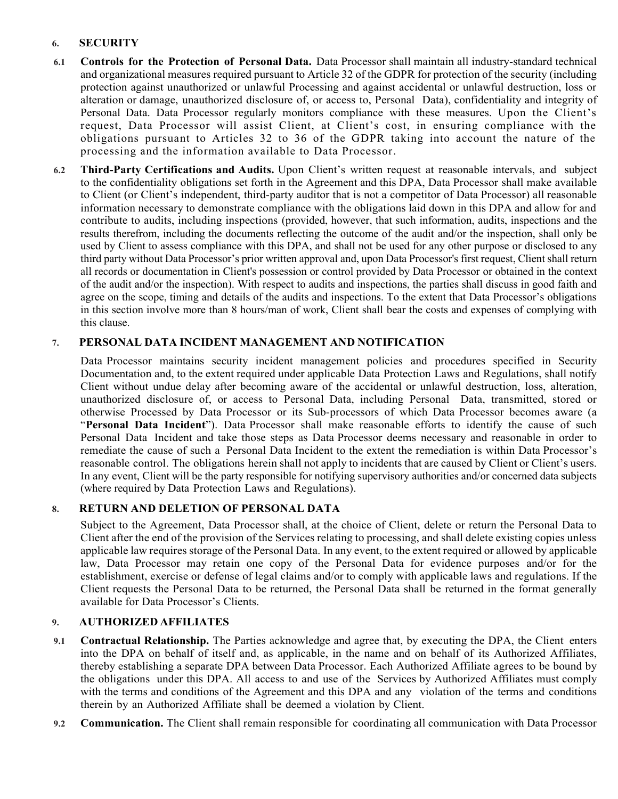# **6. SECURITY**

- **6.1 Controls for the Protection of Personal Data.** Data Processor shall maintain all industry-standard technical and organizational measures required pursuant to Article 32 of the GDPR for protection of the security (including protection against unauthorized or unlawful Processing and against accidental or unlawful destruction, loss or alteration or damage, unauthorized disclosure of, or access to, Personal Data), confidentiality and integrity of Personal Data. Data Processor regularly monitors compliance with these measures. Upon the Client's request, Data Processor will assist Client, at Client's cost, in ensuring compliance with the obligations pursuant to Articles 32 to 36 of the GDPR taking into account the nature of the processing and the information available to Data Processor.
- **6.2 Third-Party Certifications and Audits.** Upon Client's written request at reasonable intervals, and subject to the confidentiality obligations set forth in the Agreement and this DPA, Data Processor shall make available to Client (or Client's independent, third-party auditor that is not a competitor of Data Processor) all reasonable information necessary to demonstrate compliance with the obligations laid down in this DPA and allow for and contribute to audits, including inspections (provided, however, that such information, audits, inspections and the results therefrom, including the documents reflecting the outcome of the audit and/or the inspection, shall only be used by Client to assess compliance with this DPA, and shall not be used for any other purpose or disclosed to any third party without Data Processor's prior written approval and, upon Data Processor's first request, Client shall return all records or documentation in Client's possession or control provided by Data Processor or obtained in the context of the audit and/or the inspection). With respect to audits and inspections, the parties shall discuss in good faith and agree on the scope, timing and details of the audits and inspections. To the extent that Data Processor's obligations in this section involve more than 8 hours/man of work, Client shall bear the costs and expenses of complying with this clause.

# **7. PERSONAL DATA INCIDENT MANAGEMENT AND NOTIFICATION**

Data Processor maintains security incident management policies and procedures specified in Security Documentation and, to the extent required under applicable Data Protection Laws and Regulations, shall notify Client without undue delay after becoming aware of the accidental or unlawful destruction, loss, alteration, unauthorized disclosure of, or access to Personal Data, including Personal Data, transmitted, stored or otherwise Processed by Data Processor or its Sub-processors of which Data Processor becomes aware (a "**Personal Data Incident**"). Data Processor shall make reasonable efforts to identify the cause of such Personal Data Incident and take those steps as Data Processor deems necessary and reasonable in order to remediate the cause of such a Personal Data Incident to the extent the remediation is within Data Processor's reasonable control. The obligations herein shall not apply to incidents that are caused by Client or Client's users. In any event, Client will be the party responsible for notifying supervisory authorities and/or concerned data subjects (where required by Data Protection Laws and Regulations).

# **8. RETURN AND DELETION OF PERSONAL DATA**

Subject to the Agreement, Data Processor shall, at the choice of Client, delete or return the Personal Data to Client after the end of the provision of the Services relating to processing, and shall delete existing copies unless applicable law requires storage of the Personal Data. In any event, to the extent required or allowed by applicable law, Data Processor may retain one copy of the Personal Data for evidence purposes and/or for the establishment, exercise or defense of legal claims and/or to comply with applicable laws and regulations. If the Client requests the Personal Data to be returned, the Personal Data shall be returned in the format generally available for Data Processor's Clients.

# **9. AUTHORIZED AFFILIATES**

- **9.1 Contractual Relationship.** The Parties acknowledge and agree that, by executing the DPA, the Client enters into the DPA on behalf of itself and, as applicable, in the name and on behalf of its Authorized Affiliates, thereby establishing a separate DPA between Data Processor. Each Authorized Affiliate agrees to be bound by the obligations under this DPA. All access to and use of the Services by Authorized Affiliates must comply with the terms and conditions of the Agreement and this DPA and any violation of the terms and conditions therein by an Authorized Affiliate shall be deemed a violation by Client.
- **9.2 Communication.** The Client shall remain responsible for coordinating all communication with Data Processor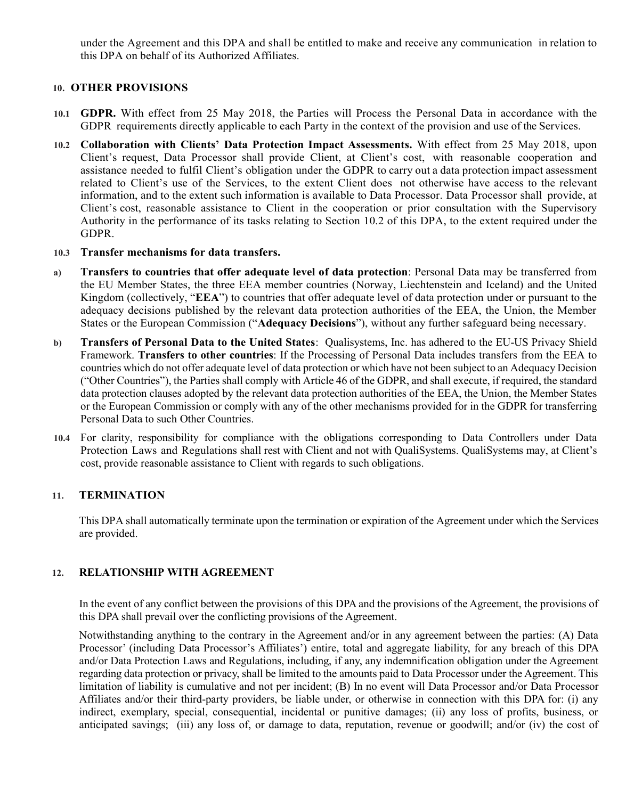under the Agreement and this DPA and shall be entitled to make and receive any communication in relation to this DPA on behalf of its Authorized Affiliates.

#### **10. OTHER PROVISIONS**

- **10.1 GDPR.** With effect from 25 May 2018, the Parties will Process the Personal Data in accordance with the GDPR requirements directly applicable to each Party in the context of the provision and use of the Services.
- **10.2 Collaboration with Clients' Data Protection Impact Assessments.** With effect from 25 May 2018, upon Client's request, Data Processor shall provide Client, at Client's cost, with reasonable cooperation and assistance needed to fulfil Client's obligation under the GDPR to carry out a data protection impact assessment related to Client's use of the Services, to the extent Client does not otherwise have access to the relevant information, and to the extent such information is available to Data Processor. Data Processor shall provide, at Client's cost, reasonable assistance to Client in the cooperation or prior consultation with the Supervisory Authority in the performance of its tasks relating to Section 10.2 of this DPA, to the extent required under the GDPR.
- **10.3 Transfer mechanisms for data transfers.**
- **a) Transfers to countries that offer adequate level of data protection**: Personal Data may be transferred from the EU Member States, the three EEA member countries (Norway, Liechtenstein and Iceland) and the United Kingdom (collectively, "**EEA**") to countries that offer adequate level of data protection under or pursuant to the adequacy decisions published by the relevant data protection authorities of the EEA, the Union, the Member States or the European Commission ("**Adequacy Decisions**"), without any further safeguard being necessary.
- **b) Transfers of Personal Data to the United States**: Qualisystems, Inc. has adhered to the EU-US Privacy Shield Framework. **Transfers to other countries**: If the Processing of Personal Data includes transfers from the EEA to countries which do not offer adequate level of data protection or which have not been subject to an Adequacy Decision ("Other Countries"), the Parties shall comply with Article 46 of the GDPR, and shall execute, if required, the standard data protection clauses adopted by the relevant data protection authorities of the EEA, the Union, the Member States or the European Commission or comply with any of the other mechanisms provided for in the GDPR for transferring Personal Data to such Other Countries.
- **10.4** For clarity, responsibility for compliance with the obligations corresponding to Data Controllers under Data Protection Laws and Regulations shall rest with Client and not with QualiSystems. QualiSystems may, at Client's cost, provide reasonable assistance to Client with regards to such obligations.

#### **11. TERMINATION**

This DPA shall automatically terminate upon the termination or expiration of the Agreement under which the Services are provided.

# **12. RELATIONSHIP WITH AGREEMENT**

In the event of any conflict between the provisions of this DPA and the provisions of the Agreement, the provisions of this DPA shall prevail over the conflicting provisions of the Agreement.

Notwithstanding anything to the contrary in the Agreement and/or in any agreement between the parties: (A) Data Processor' (including Data Processor's Affiliates') entire, total and aggregate liability, for any breach of this DPA and/or Data Protection Laws and Regulations, including, if any, any indemnification obligation under the Agreement regarding data protection or privacy, shall be limited to the amounts paid to Data Processor under the Agreement. This limitation of liability is cumulative and not per incident; (B) In no event will Data Processor and/or Data Processor Affiliates and/or their third-party providers, be liable under, or otherwise in connection with this DPA for: (i) any indirect, exemplary, special, consequential, incidental or punitive damages; (ii) any loss of profits, business, or anticipated savings; (iii) any loss of, or damage to data, reputation, revenue or goodwill; and/or (iv) the cost of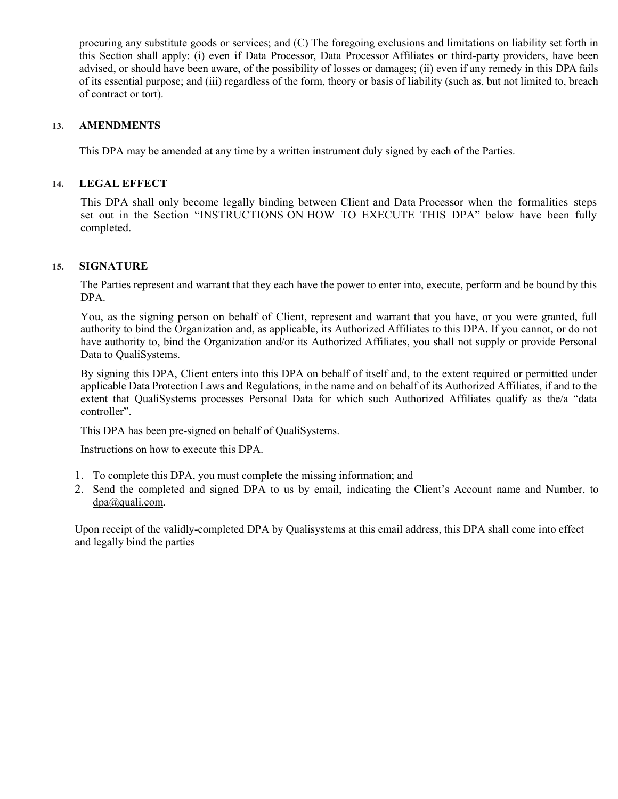procuring any substitute goods or services; and (C) The foregoing exclusions and limitations on liability set forth in this Section shall apply: (i) even if Data Processor, Data Processor Affiliates or third-party providers, have been advised, or should have been aware, of the possibility of losses or damages; (ii) even if any remedy in this DPA fails of its essential purpose; and (iii) regardless of the form, theory or basis of liability (such as, but not limited to, breach of contract or tort).

#### **13. AMENDMENTS**

This DPA may be amended at any time by a written instrument duly signed by each of the Parties.

#### **14. LEGAL EFFECT**

This DPA shall only become legally binding between Client and Data Processor when the formalities steps set out in the Section "INSTRUCTIONS ON HOW TO EXECUTE THIS DPA" below have been fully completed.

### **15. SIGNATURE**

The Parties represent and warrant that they each have the power to enter into, execute, perform and be bound by this DPA.

You, as the signing person on behalf of Client, represent and warrant that you have, or you were granted, full authority to bind the Organization and, as applicable, its Authorized Affiliates to this DPA. If you cannot, or do not have authority to, bind the Organization and/or its Authorized Affiliates, you shall not supply or provide Personal Data to QualiSystems.

By signing this DPA, Client enters into this DPA on behalf of itself and, to the extent required or permitted under applicable Data Protection Laws and Regulations, in the name and on behalf of its Authorized Affiliates, if and to the extent that QualiSystems processes Personal Data for which such Authorized Affiliates qualify as the/a "data controller".

This DPA has been pre-signed on behalf of QualiSystems.

Instructions on how to execute this DPA.

- 1. To complete this DPA, you must complete the missing information; and
- 2. Send the completed and signed DPA to us by email, indicating the Client's Account name and Number, to [dpa@quali.com.](mailto:dpa@quali.com)

Upon receipt of the validly-completed DPA by Qualisystems at this email address, this DPA shall come into effect and legally bind the parties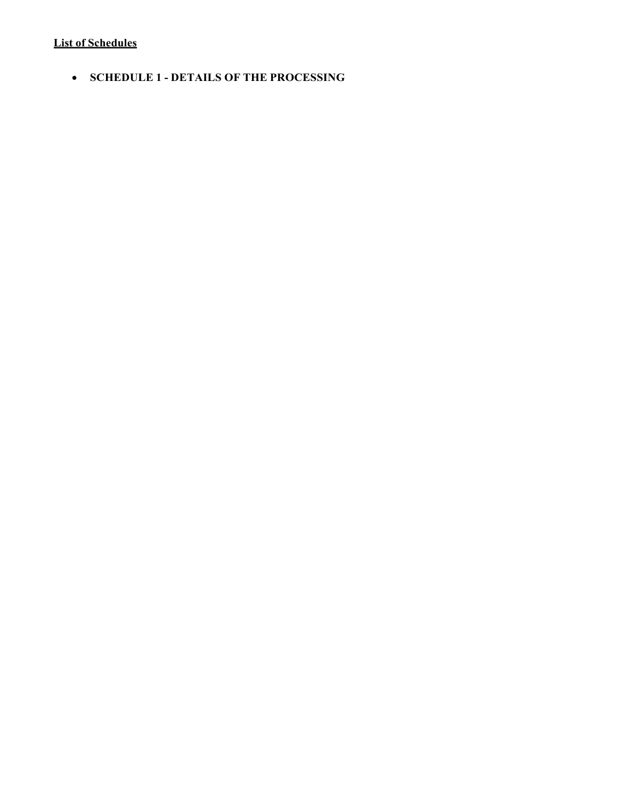# **List of Schedules**

• **SCHEDULE 1 - DETAILS OF THE PROCESSING**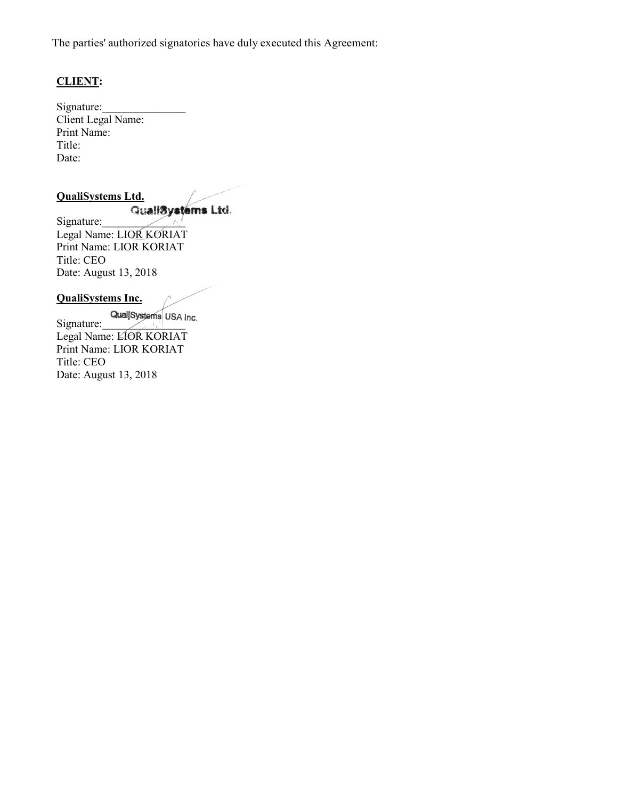The parties' authorized signatories have duly executed this Agreement:

# **CLIENT:**

Signature: Client Legal Name: Print Name: Title: Date:

# **QualiSystems Ltd.**

Quali<sup>8</sup>ystems Ltd. Legal Name: LIOR KORIAT Print Name: LIOR KORIAT Title: CEO Date: August 13, 2018

#### **QualiSystems Inc.**

QualjSystems USA Inc. Legal Name: LIOR KORIAT Print Name: LIOR KORIAT Title: CEO Date: August 13, 2018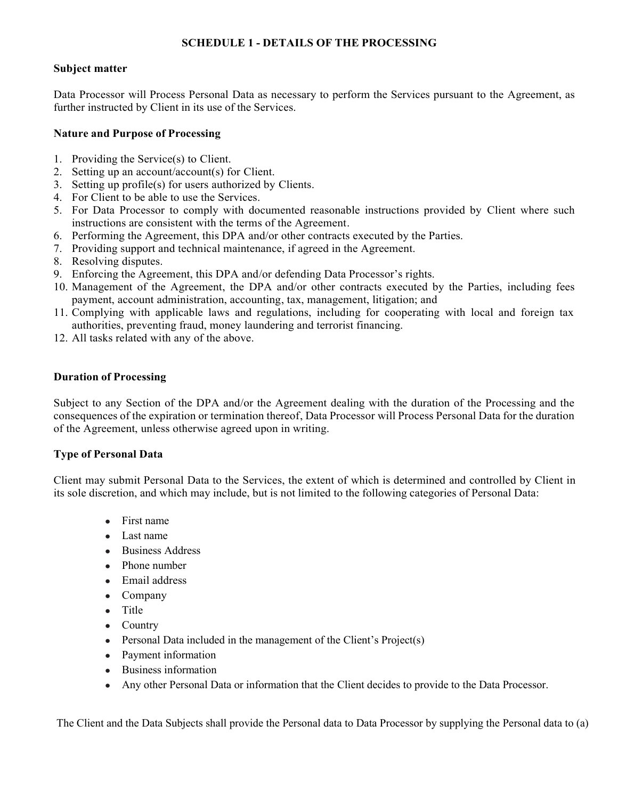### **SCHEDULE 1 - DETAILS OF THE PROCESSING**

### **Subject matter**

Data Processor will Process Personal Data as necessary to perform the Services pursuant to the Agreement, as further instructed by Client in its use of the Services.

# **Nature and Purpose of Processing**

- 1. Providing the Service(s) to Client.
- 2. Setting up an account/account(s) for Client.
- 3. Setting up profile(s) for users authorized by Clients.
- 4. For Client to be able to use the Services.
- 5. For Data Processor to comply with documented reasonable instructions provided by Client where such instructions are consistent with the terms of the Agreement.
- 6. Performing the Agreement, this DPA and/or other contracts executed by the Parties.
- 7. Providing support and technical maintenance, if agreed in the Agreement.
- 8. Resolving disputes.
- 9. Enforcing the Agreement, this DPA and/or defending Data Processor's rights.
- 10. Management of the Agreement, the DPA and/or other contracts executed by the Parties, including fees payment, account administration, accounting, tax, management, litigation; and
- 11. Complying with applicable laws and regulations, including for cooperating with local and foreign tax authorities, preventing fraud, money laundering and terrorist financing.
- 12. All tasks related with any of the above.

### **Duration of Processing**

Subject to any Section of the DPA and/or the Agreement dealing with the duration of the Processing and the consequences of the expiration or termination thereof, Data Processor will Process Personal Data for the duration of the Agreement, unless otherwise agreed upon in writing.

# **Type of Personal Data**

Client may submit Personal Data to the Services, the extent of which is determined and controlled by Client in its sole discretion, and which may include, but is not limited to the following categories of Personal Data:

- First name
- Last name
- **Business Address**
- Phone number
- Email address
- Company
- Title
- Country
- Personal Data included in the management of the Client's  $Project(s)$
- Payment information
- Business information
- Any other Personal Data or information that the Client decides to provide to the Data Processor.

The Client and the Data Subjects shall provide the Personal data to Data Processor by supplying the Personal data to (a)